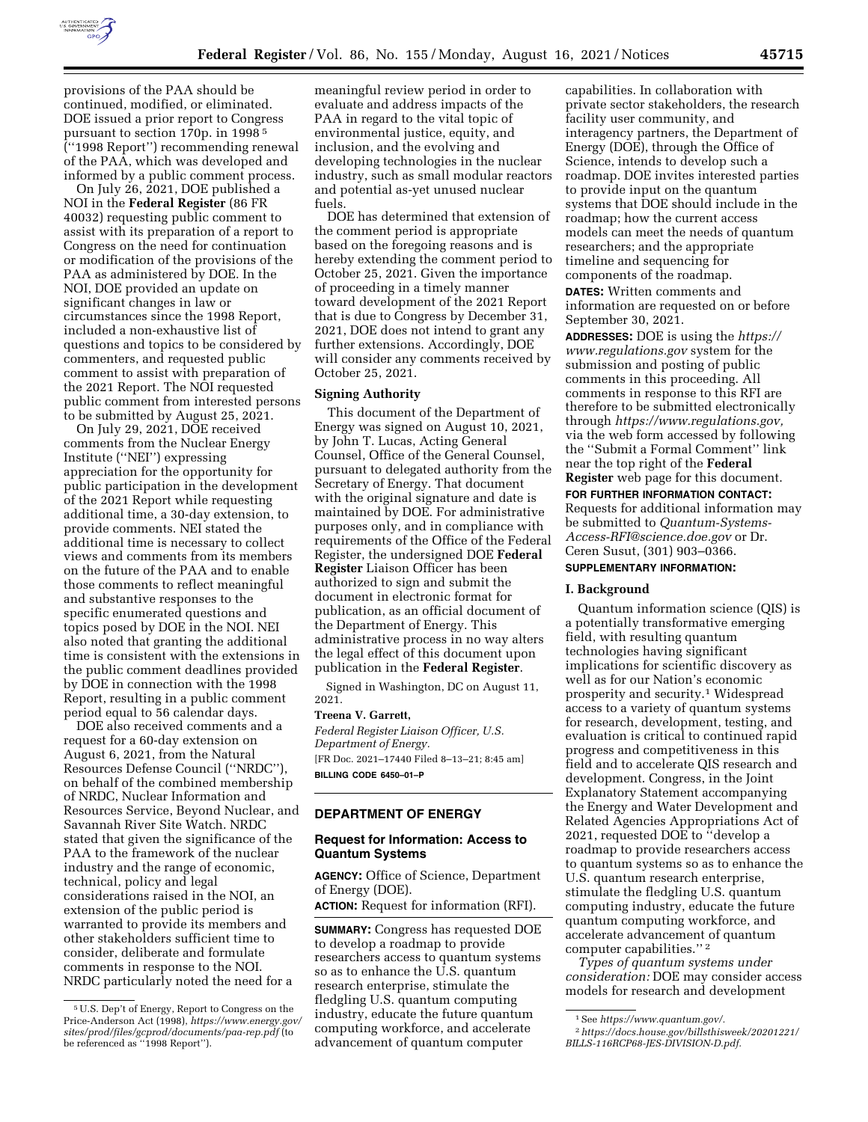

provisions of the PAA should be continued, modified, or eliminated. DOE issued a prior report to Congress pursuant to section 170p. in 1998 5 (''1998 Report'') recommending renewal of the PAA, which was developed and informed by a public comment process.

On July 26, 2021, DOE published a NOI in the **Federal Register** (86 FR 40032) requesting public comment to assist with its preparation of a report to Congress on the need for continuation or modification of the provisions of the PAA as administered by DOE. In the NOI, DOE provided an update on significant changes in law or circumstances since the 1998 Report, included a non-exhaustive list of questions and topics to be considered by commenters, and requested public comment to assist with preparation of the 2021 Report. The NOI requested public comment from interested persons to be submitted by August 25, 2021.

On July 29, 2021, DOE received comments from the Nuclear Energy Institute (''NEI'') expressing appreciation for the opportunity for public participation in the development of the 2021 Report while requesting additional time, a 30-day extension, to provide comments. NEI stated the additional time is necessary to collect views and comments from its members on the future of the PAA and to enable those comments to reflect meaningful and substantive responses to the specific enumerated questions and topics posed by DOE in the NOI. NEI also noted that granting the additional time is consistent with the extensions in the public comment deadlines provided by DOE in connection with the 1998 Report, resulting in a public comment period equal to 56 calendar days.

DOE also received comments and a request for a 60-day extension on August 6, 2021, from the Natural Resources Defense Council (''NRDC''), on behalf of the combined membership of NRDC, Nuclear Information and Resources Service, Beyond Nuclear, and Savannah River Site Watch. NRDC stated that given the significance of the PAA to the framework of the nuclear industry and the range of economic, technical, policy and legal considerations raised in the NOI, an extension of the public period is warranted to provide its members and other stakeholders sufficient time to consider, deliberate and formulate comments in response to the NOI. NRDC particularly noted the need for a

meaningful review period in order to evaluate and address impacts of the PAA in regard to the vital topic of environmental justice, equity, and inclusion, and the evolving and developing technologies in the nuclear industry, such as small modular reactors and potential as-yet unused nuclear fuels.

DOE has determined that extension of the comment period is appropriate based on the foregoing reasons and is hereby extending the comment period to October 25, 2021. Given the importance of proceeding in a timely manner toward development of the 2021 Report that is due to Congress by December 31, 2021, DOE does not intend to grant any further extensions. Accordingly, DOE will consider any comments received by October 25, 2021.

# **Signing Authority**

This document of the Department of Energy was signed on August 10, 2021, by John T. Lucas, Acting General Counsel, Office of the General Counsel, pursuant to delegated authority from the Secretary of Energy. That document with the original signature and date is maintained by DOE. For administrative purposes only, and in compliance with requirements of the Office of the Federal Register, the undersigned DOE **Federal Register** Liaison Officer has been authorized to sign and submit the document in electronic format for publication, as an official document of the Department of Energy. This administrative process in no way alters the legal effect of this document upon publication in the **Federal Register**.

Signed in Washington, DC on August 11, 2021.

#### **Treena V. Garrett,**

*Federal Register Liaison Officer, U.S. Department of Energy.*  [FR Doc. 2021–17440 Filed 8–13–21; 8:45 am] **BILLING CODE 6450–01–P** 

## **DEPARTMENT OF ENERGY**

# **Request for Information: Access to Quantum Systems**

**AGENCY:** Office of Science, Department of Energy (DOE).

**ACTION:** Request for information (RFI).

**SUMMARY:** Congress has requested DOE to develop a roadmap to provide researchers access to quantum systems so as to enhance the U.S. quantum research enterprise, stimulate the fledgling U.S. quantum computing industry, educate the future quantum computing workforce, and accelerate advancement of quantum computer

capabilities. In collaboration with private sector stakeholders, the research facility user community, and interagency partners, the Department of Energy (DOE), through the Office of Science, intends to develop such a roadmap. DOE invites interested parties to provide input on the quantum systems that DOE should include in the roadmap; how the current access models can meet the needs of quantum researchers; and the appropriate timeline and sequencing for components of the roadmap.

**DATES:** Written comments and information are requested on or before September 30, 2021.

**ADDRESSES:** DOE is using the *[https://](https://www.regulations.gov) [www.regulations.gov](https://www.regulations.gov)* system for the submission and posting of public comments in this proceeding. All comments in response to this RFI are therefore to be submitted electronically through *[https://www.regulations.gov,](https://www.regulations.gov)*  via the web form accessed by following the ''Submit a Formal Comment'' link near the top right of the **Federal Register** web page for this document.

**FOR FURTHER INFORMATION CONTACT:**  Requests for additional information may be submitted to *[Quantum-Systems-](mailto:Quantum-Systems-Access-RFI@science.doe.gov)*

*[Access-RFI@science.doe.gov](mailto:Quantum-Systems-Access-RFI@science.doe.gov)* or Dr.

# Ceren Susut, (301) 903–0366. **SUPPLEMENTARY INFORMATION:**

### **I. Background**

Quantum information science (QIS) is a potentially transformative emerging field, with resulting quantum technologies having significant implications for scientific discovery as well as for our Nation's economic prosperity and security.1 Widespread access to a variety of quantum systems for research, development, testing, and evaluation is critical to continued rapid progress and competitiveness in this field and to accelerate QIS research and development. Congress, in the Joint Explanatory Statement accompanying the Energy and Water Development and Related Agencies Appropriations Act of 2021, requested DOE to ''develop a roadmap to provide researchers access to quantum systems so as to enhance the U.S. quantum research enterprise, stimulate the fledgling U.S. quantum computing industry, educate the future quantum computing workforce, and accelerate advancement of quantum computer capabilities.'' 2

*Types of quantum systems under consideration:* DOE may consider access models for research and development

<sup>5</sup>U.S. Dep't of Energy, Report to Congress on the Price-Anderson Act (1998), *[https://www.energy.gov/](https://www.energy.gov/sites/prod/files/gcprod/documents/paa-rep.pdf)  [sites/prod/files/gcprod/documents/paa-rep.pdf](https://www.energy.gov/sites/prod/files/gcprod/documents/paa-rep.pdf)* (to be referenced as ''1998 Report'').

<sup>1</sup>See *[https://www.quantum.gov/.](https://www.quantum.gov/)* 

<sup>2</sup>*[https://docs.house.gov/billsthisweek/20201221/](https://docs.house.gov/billsthisweek/20201221/BILLS-116RCP68-JES-DIVISION-D.pdf)  [BILLS-116RCP68-JES-DIVISION-D.pdf.](https://docs.house.gov/billsthisweek/20201221/BILLS-116RCP68-JES-DIVISION-D.pdf)*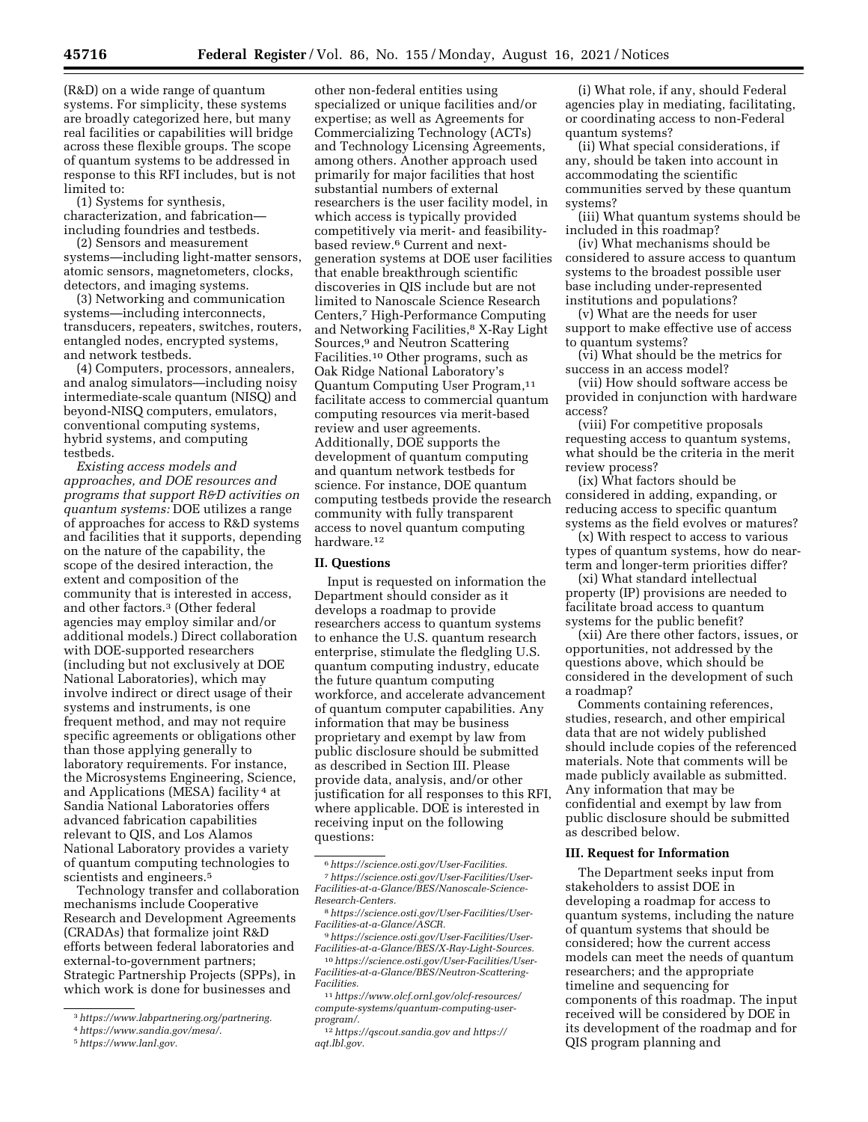(R&D) on a wide range of quantum systems. For simplicity, these systems are broadly categorized here, but many real facilities or capabilities will bridge across these flexible groups. The scope of quantum systems to be addressed in response to this RFI includes, but is not limited to:

(1) Systems for synthesis, characterization, and fabrication including foundries and testbeds.

(2) Sensors and measurement systems—including light-matter sensors, atomic sensors, magnetometers, clocks, detectors, and imaging systems.

(3) Networking and communication systems—including interconnects, transducers, repeaters, switches, routers, entangled nodes, encrypted systems, and network testbeds.

(4) Computers, processors, annealers, and analog simulators—including noisy intermediate-scale quantum (NISQ) and beyond-NISQ computers, emulators, conventional computing systems, hybrid systems, and computing testbeds.

*Existing access models and approaches, and DOE resources and programs that support R&D activities on quantum systems:* DOE utilizes a range of approaches for access to R&D systems and facilities that it supports, depending on the nature of the capability, the scope of the desired interaction, the extent and composition of the community that is interested in access, and other factors.3 (Other federal agencies may employ similar and/or additional models.) Direct collaboration with DOE-supported researchers (including but not exclusively at DOE National Laboratories), which may involve indirect or direct usage of their systems and instruments, is one frequent method, and may not require specific agreements or obligations other than those applying generally to laboratory requirements. For instance, the Microsystems Engineering, Science, and Applications (MESA) facility 4 at Sandia National Laboratories offers advanced fabrication capabilities relevant to QIS, and Los Alamos National Laboratory provides a variety of quantum computing technologies to scientists and engineers.<sup>5</sup>

Technology transfer and collaboration mechanisms include Cooperative Research and Development Agreements (CRADAs) that formalize joint R&D efforts between federal laboratories and external-to-government partners; Strategic Partnership Projects (SPPs), in which work is done for businesses and

5*[https://www.lanl.gov.](https://www.lanl.gov)* 

other non-federal entities using specialized or unique facilities and/or expertise; as well as Agreements for Commercializing Technology (ACTs) and Technology Licensing Agreements, among others. Another approach used primarily for major facilities that host substantial numbers of external researchers is the user facility model, in which access is typically provided competitively via merit- and feasibilitybased review.6 Current and nextgeneration systems at DOE user facilities that enable breakthrough scientific discoveries in QIS include but are not limited to Nanoscale Science Research Centers,7 High-Performance Computing and Networking Facilities,8 X-Ray Light Sources,9 and Neutron Scattering Facilities.10 Other programs, such as Oak Ridge National Laboratory's Quantum Computing User Program,11 facilitate access to commercial quantum computing resources via merit-based review and user agreements. Additionally, DOE supports the development of quantum computing and quantum network testbeds for science. For instance, DOE quantum computing testbeds provide the research community with fully transparent access to novel quantum computing hardware.<sup>12</sup>

#### **II. Questions**

Input is requested on information the Department should consider as it develops a roadmap to provide researchers access to quantum systems to enhance the U.S. quantum research enterprise, stimulate the fledgling U.S. quantum computing industry, educate the future quantum computing workforce, and accelerate advancement of quantum computer capabilities. Any information that may be business proprietary and exempt by law from public disclosure should be submitted as described in Section III. Please provide data, analysis, and/or other justification for all responses to this RFI, where applicable. DOE is interested in receiving input on the following questions:

10*[https://science.osti.gov/User-Facilities/User-](https://science.osti.gov/User-Facilities/User-Facilities-at-a-Glance/BES/Neutron-Scattering-Facilities)[Facilities-at-a-Glance/BES/Neutron-Scattering-](https://science.osti.gov/User-Facilities/User-Facilities-at-a-Glance/BES/Neutron-Scattering-Facilities)[Facilities.](https://science.osti.gov/User-Facilities/User-Facilities-at-a-Glance/BES/Neutron-Scattering-Facilities)* 

11*[https://www.olcf.ornl.gov/olcf-resources/](https://www.olcf.ornl.gov/olcf-resources/compute-systems/quantum-computing-user-program/)  [compute-systems/quantum-computing-user](https://www.olcf.ornl.gov/olcf-resources/compute-systems/quantum-computing-user-program/)[program/.](https://www.olcf.ornl.gov/olcf-resources/compute-systems/quantum-computing-user-program/)* 

(i) What role, if any, should Federal agencies play in mediating, facilitating, or coordinating access to non-Federal quantum systems?

(ii) What special considerations, if any, should be taken into account in accommodating the scientific communities served by these quantum systems?

(iii) What quantum systems should be included in this roadmap?

(iv) What mechanisms should be considered to assure access to quantum systems to the broadest possible user base including under-represented institutions and populations?

(v) What are the needs for user support to make effective use of access to quantum systems?

(vi) What should be the metrics for success in an access model?

(vii) How should software access be provided in conjunction with hardware access?

(viii) For competitive proposals requesting access to quantum systems, what should be the criteria in the merit review process?

(ix) What factors should be considered in adding, expanding, or reducing access to specific quantum systems as the field evolves or matures?

(x) With respect to access to various types of quantum systems, how do nearterm and longer-term priorities differ?

(xi) What standard intellectual property (IP) provisions are needed to facilitate broad access to quantum systems for the public benefit?

(xii) Are there other factors, issues, or opportunities, not addressed by the questions above, which should be considered in the development of such a roadmap?

Comments containing references, studies, research, and other empirical data that are not widely published should include copies of the referenced materials. Note that comments will be made publicly available as submitted. Any information that may be confidential and exempt by law from public disclosure should be submitted as described below.

### **III. Request for Information**

The Department seeks input from stakeholders to assist DOE in developing a roadmap for access to quantum systems, including the nature of quantum systems that should be considered; how the current access models can meet the needs of quantum researchers; and the appropriate timeline and sequencing for components of this roadmap. The input received will be considered by DOE in its development of the roadmap and for QIS program planning and

<sup>3</sup>*[https://www.labpartnering.org/partnering.](https://www.labpartnering.org/partnering)* 

<sup>4</sup>*[https://www.sandia.gov/mesa/.](https://www.sandia.gov/mesa/)* 

<sup>6</sup>*[https://science.osti.gov/User-Facilities.](https://science.osti.gov/User-Facilities)* 

<sup>7</sup>*[https://science.osti.gov/User-Facilities/User-](https://science.osti.gov/User-Facilities/User-Facilities-at-a-Glance/BES/Nanoscale-Science-Research-Centers)[Facilities-at-a-Glance/BES/Nanoscale-Science-](https://science.osti.gov/User-Facilities/User-Facilities-at-a-Glance/BES/Nanoscale-Science-Research-Centers)[Research-Centers.](https://science.osti.gov/User-Facilities/User-Facilities-at-a-Glance/BES/Nanoscale-Science-Research-Centers)* 

<sup>8</sup>*[https://science.osti.gov/User-Facilities/User-](https://science.osti.gov/User-Facilities/User-Facilities-at-a-Glance/ASCR)[Facilities-at-a-Glance/ASCR.](https://science.osti.gov/User-Facilities/User-Facilities-at-a-Glance/ASCR)* 

<sup>9</sup>*[https://science.osti.gov/User-Facilities/User-](https://science.osti.gov/User-Facilities/User-Facilities-at-a-Glance/BES/X-Ray-Light-Sources)[Facilities-at-a-Glance/BES/X-Ray-Light-Sources.](https://science.osti.gov/User-Facilities/User-Facilities-at-a-Glance/BES/X-Ray-Light-Sources)* 

<sup>12</sup>*<https://qscout.sandia.gov>and [https://](https://aqt.lbl.gov) [aqt.lbl.gov.](https://aqt.lbl.gov)*